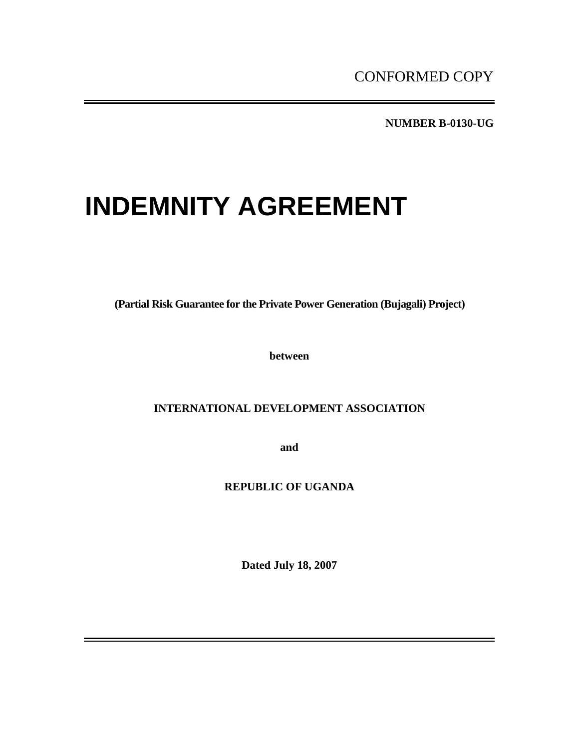**NUMBER B-0130-UG** 

# **INDEMNITY AGREEMENT**

**(Partial Risk Guarantee for the Private Power Generation (Bujagali) Project)** 

**between** 

**INTERNATIONAL DEVELOPMENT ASSOCIATION** 

**and** 

**REPUBLIC OF UGANDA** 

**Dated July 18, 2007**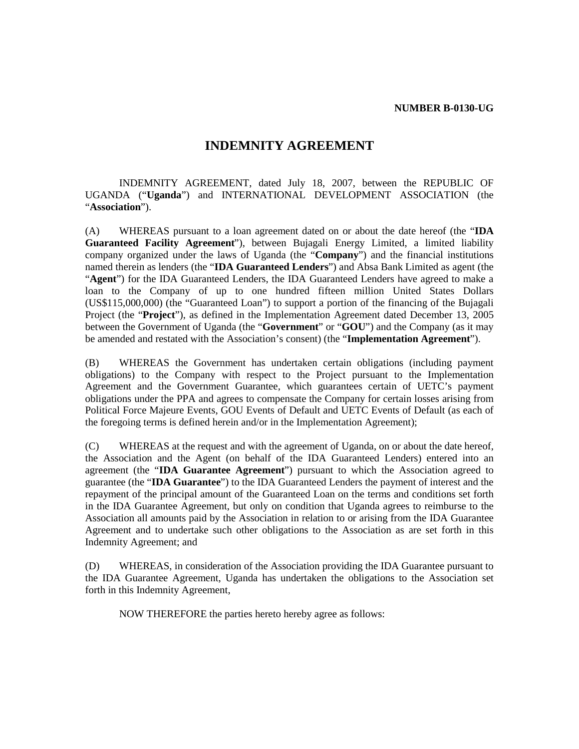# **INDEMNITY AGREEMENT**

INDEMNITY AGREEMENT, dated July 18, 2007, between the REPUBLIC OF UGANDA ("**Uganda**") and INTERNATIONAL DEVELOPMENT ASSOCIATION (the "**Association**").

(A) WHEREAS pursuant to a loan agreement dated on or about the date hereof (the "**IDA Guaranteed Facility Agreement**"), between Bujagali Energy Limited, a limited liability company organized under the laws of Uganda (the "**Company**") and the financial institutions named therein as lenders (the "**IDA Guaranteed Lenders**") and Absa Bank Limited as agent (the "**Agent**") for the IDA Guaranteed Lenders, the IDA Guaranteed Lenders have agreed to make a loan to the Company of up to one hundred fifteen million United States Dollars (US\$115,000,000) (the "Guaranteed Loan") to support a portion of the financing of the Bujagali Project (the "**Project**"), as defined in the Implementation Agreement dated December 13, 2005 between the Government of Uganda (the "**Government**" or "**GOU**") and the Company (as it may be amended and restated with the Association's consent) (the "**Implementation Agreement**").

(B) WHEREAS the Government has undertaken certain obligations (including payment obligations) to the Company with respect to the Project pursuant to the Implementation Agreement and the Government Guarantee, which guarantees certain of UETC's payment obligations under the PPA and agrees to compensate the Company for certain losses arising from Political Force Majeure Events, GOU Events of Default and UETC Events of Default (as each of the foregoing terms is defined herein and/or in the Implementation Agreement);

(C) WHEREAS at the request and with the agreement of Uganda, on or about the date hereof, the Association and the Agent (on behalf of the IDA Guaranteed Lenders) entered into an agreement (the "**IDA Guarantee Agreement**") pursuant to which the Association agreed to guarantee (the "**IDA Guarantee**") to the IDA Guaranteed Lenders the payment of interest and the repayment of the principal amount of the Guaranteed Loan on the terms and conditions set forth in the IDA Guarantee Agreement, but only on condition that Uganda agrees to reimburse to the Association all amounts paid by the Association in relation to or arising from the IDA Guarantee Agreement and to undertake such other obligations to the Association as are set forth in this Indemnity Agreement; and

(D) WHEREAS, in consideration of the Association providing the IDA Guarantee pursuant to the IDA Guarantee Agreement, Uganda has undertaken the obligations to the Association set forth in this Indemnity Agreement,

NOW THEREFORE the parties hereto hereby agree as follows: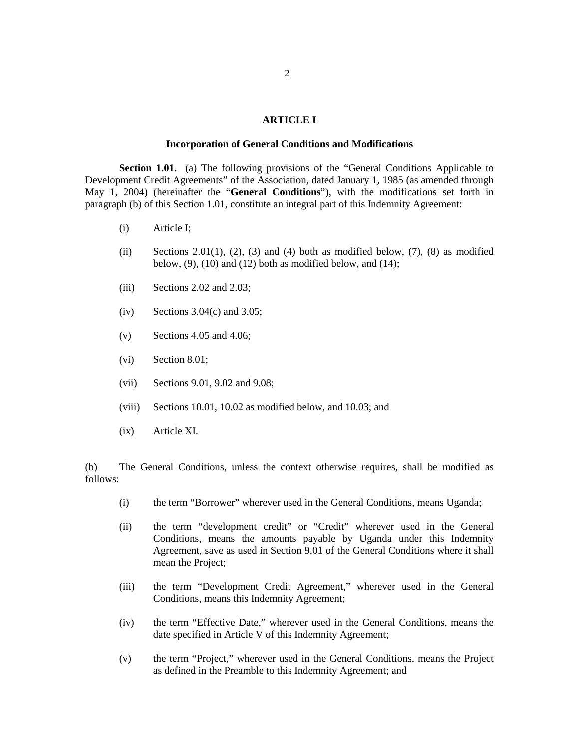### **ARTICLE I**

#### **Incorporation of General Conditions and Modifications**

**Section 1.01.** (a) The following provisions of the "General Conditions Applicable to Development Credit Agreements" of the Association, dated January 1, 1985 (as amended through May 1, 2004) (hereinafter the "**General Conditions**"), with the modifications set forth in paragraph (b) of this Section 1.01, constitute an integral part of this Indemnity Agreement:

- (i) Article I;
- (ii) Sections 2.01(1), (2), (3) and (4) both as modified below,  $(7)$ ,  $(8)$  as modified below,  $(9)$ ,  $(10)$  and  $(12)$  both as modified below, and  $(14)$ ;
- $(iii)$  Sections 2.02 and 2.03:
- $(iv)$  Sections 3.04 $(c)$  and 3.05;
- $(v)$  Sections 4.05 and 4.06;
- (vi) Section 8.01;
- (vii) Sections 9.01, 9.02 and 9.08;
- (viii) Sections 10.01, 10.02 as modified below, and 10.03; and
- (ix) Article XI.

(b) The General Conditions, unless the context otherwise requires, shall be modified as follows:

- (i) the term "Borrower" wherever used in the General Conditions, means Uganda;
- (ii) the term "development credit" or "Credit" wherever used in the General Conditions, means the amounts payable by Uganda under this Indemnity Agreement, save as used in Section 9.01 of the General Conditions where it shall mean the Project;
- (iii) the term "Development Credit Agreement," wherever used in the General Conditions, means this Indemnity Agreement;
- (iv) the term "Effective Date," wherever used in the General Conditions, means the date specified in Article V of this Indemnity Agreement;
- (v) the term "Project," wherever used in the General Conditions, means the Project as defined in the Preamble to this Indemnity Agreement; and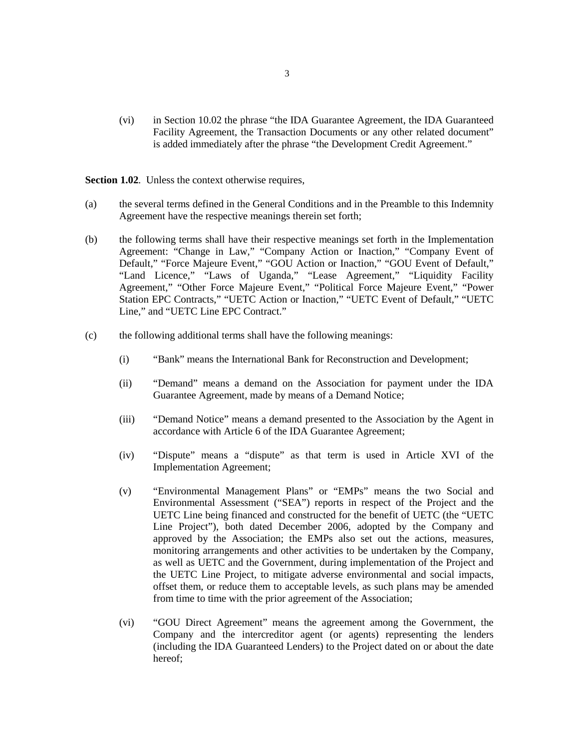(vi) in Section 10.02 the phrase "the IDA Guarantee Agreement, the IDA Guaranteed Facility Agreement, the Transaction Documents or any other related document" is added immediately after the phrase "the Development Credit Agreement."

**Section 1.02.** Unless the context otherwise requires,

- (a) the several terms defined in the General Conditions and in the Preamble to this Indemnity Agreement have the respective meanings therein set forth;
- (b) the following terms shall have their respective meanings set forth in the Implementation Agreement: "Change in Law," "Company Action or Inaction," "Company Event of Default," "Force Majeure Event," "GOU Action or Inaction," "GOU Event of Default," "Land Licence," "Laws of Uganda," "Lease Agreement," "Liquidity Facility Agreement," "Other Force Majeure Event," "Political Force Majeure Event," "Power Station EPC Contracts," "UETC Action or Inaction," "UETC Event of Default," "UETC Line," and "UETC Line EPC Contract."
- (c) the following additional terms shall have the following meanings:
	- (i) "Bank" means the International Bank for Reconstruction and Development;
	- (ii) "Demand" means a demand on the Association for payment under the IDA Guarantee Agreement, made by means of a Demand Notice;
	- (iii) "Demand Notice" means a demand presented to the Association by the Agent in accordance with Article 6 of the IDA Guarantee Agreement;
	- (iv) "Dispute" means a "dispute" as that term is used in Article XVI of the Implementation Agreement;
	- (v) "Environmental Management Plans" or "EMPs" means the two Social and Environmental Assessment ("SEA") reports in respect of the Project and the UETC Line being financed and constructed for the benefit of UETC (the "UETC Line Project"), both dated December 2006, adopted by the Company and approved by the Association; the EMPs also set out the actions, measures, monitoring arrangements and other activities to be undertaken by the Company, as well as UETC and the Government, during implementation of the Project and the UETC Line Project, to mitigate adverse environmental and social impacts, offset them, or reduce them to acceptable levels, as such plans may be amended from time to time with the prior agreement of the Association;
	- (vi) "GOU Direct Agreement" means the agreement among the Government, the Company and the intercreditor agent (or agents) representing the lenders (including the IDA Guaranteed Lenders) to the Project dated on or about the date hereof;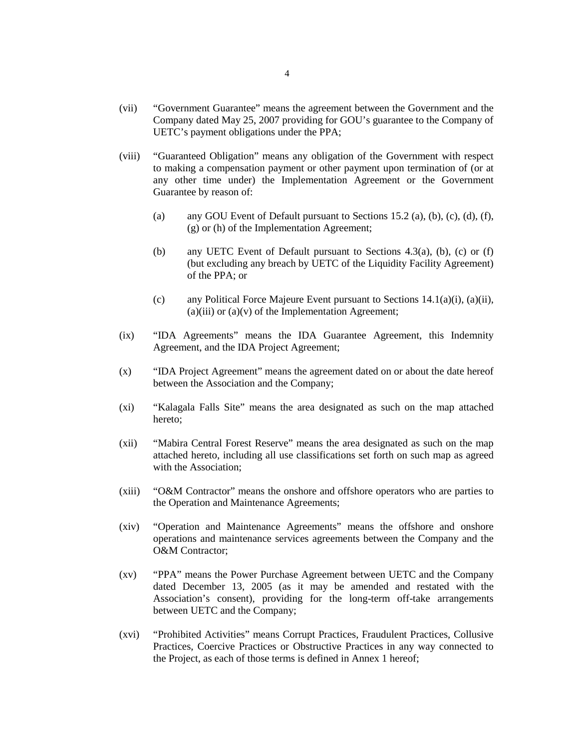- (vii) "Government Guarantee" means the agreement between the Government and the Company dated May 25, 2007 providing for GOU's guarantee to the Company of UETC's payment obligations under the PPA;
- (viii) "Guaranteed Obligation" means any obligation of the Government with respect to making a compensation payment or other payment upon termination of (or at any other time under) the Implementation Agreement or the Government Guarantee by reason of:
	- (a) any GOU Event of Default pursuant to Sections 15.2 (a), (b), (c), (d), (f), (g) or (h) of the Implementation Agreement;
	- (b) any UETC Event of Default pursuant to Sections  $4.3(a)$ , (b), (c) or (f) (but excluding any breach by UETC of the Liquidity Facility Agreement) of the PPA; or
	- (c) any Political Force Majeure Event pursuant to Sections 14.1(a)(i), (a)(ii),  $(a)(iii)$  or  $(a)(v)$  of the Implementation Agreement;
- (ix) "IDA Agreements" means the IDA Guarantee Agreement, this Indemnity Agreement, and the IDA Project Agreement;
- (x) "IDA Project Agreement" means the agreement dated on or about the date hereof between the Association and the Company;
- (xi) "Kalagala Falls Site" means the area designated as such on the map attached hereto;
- (xii) "Mabira Central Forest Reserve" means the area designated as such on the map attached hereto, including all use classifications set forth on such map as agreed with the Association;
- (xiii) "O&M Contractor" means the onshore and offshore operators who are parties to the Operation and Maintenance Agreements;
- (xiv) "Operation and Maintenance Agreements" means the offshore and onshore operations and maintenance services agreements between the Company and the O&M Contractor;
- (xv) "PPA" means the Power Purchase Agreement between UETC and the Company dated December 13, 2005 (as it may be amended and restated with the Association's consent), providing for the long-term off-take arrangements between UETC and the Company;
- (xvi) "Prohibited Activities" means Corrupt Practices, Fraudulent Practices, Collusive Practices, Coercive Practices or Obstructive Practices in any way connected to the Project, as each of those terms is defined in Annex 1 hereof;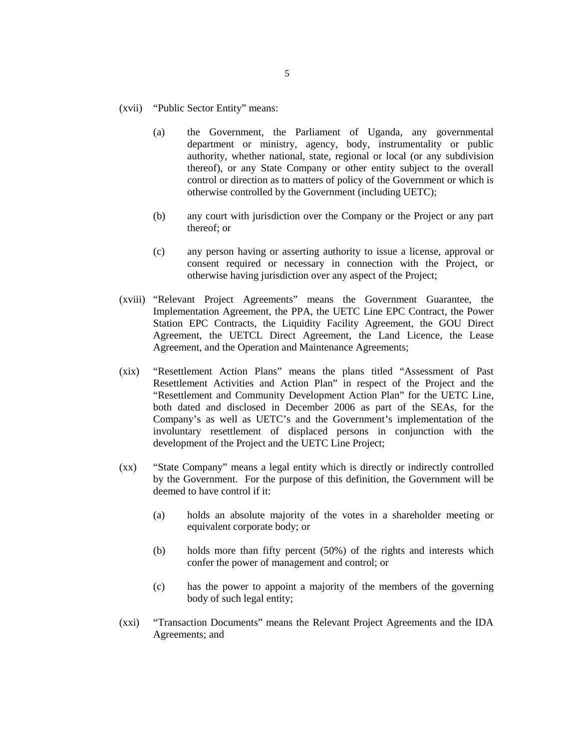- (xvii) "Public Sector Entity" means:
	- (a) the Government, the Parliament of Uganda, any governmental department or ministry, agency, body, instrumentality or public authority, whether national, state, regional or local (or any subdivision thereof), or any State Company or other entity subject to the overall control or direction as to matters of policy of the Government or which is otherwise controlled by the Government (including UETC);
	- (b) any court with jurisdiction over the Company or the Project or any part thereof; or
	- (c) any person having or asserting authority to issue a license, approval or consent required or necessary in connection with the Project, or otherwise having jurisdiction over any aspect of the Project;
- (xviii) "Relevant Project Agreements" means the Government Guarantee, the Implementation Agreement, the PPA, the UETC Line EPC Contract, the Power Station EPC Contracts, the Liquidity Facility Agreement, the GOU Direct Agreement, the UETCL Direct Agreement, the Land Licence, the Lease Agreement, and the Operation and Maintenance Agreements;
- (xix) "Resettlement Action Plans" means the plans titled "Assessment of Past Resettlement Activities and Action Plan" in respect of the Project and the "Resettlement and Community Development Action Plan" for the UETC Line, both dated and disclosed in December 2006 as part of the SEAs, for the Company's as well as UETC's and the Government's implementation of the involuntary resettlement of displaced persons in conjunction with the development of the Project and the UETC Line Project;
- (xx) "State Company" means a legal entity which is directly or indirectly controlled by the Government. For the purpose of this definition, the Government will be deemed to have control if it:
	- (a) holds an absolute majority of the votes in a shareholder meeting or equivalent corporate body; or
	- (b) holds more than fifty percent (50%) of the rights and interests which confer the power of management and control; or
	- (c) has the power to appoint a majority of the members of the governing body of such legal entity;
- (xxi) "Transaction Documents" means the Relevant Project Agreements and the IDA Agreements; and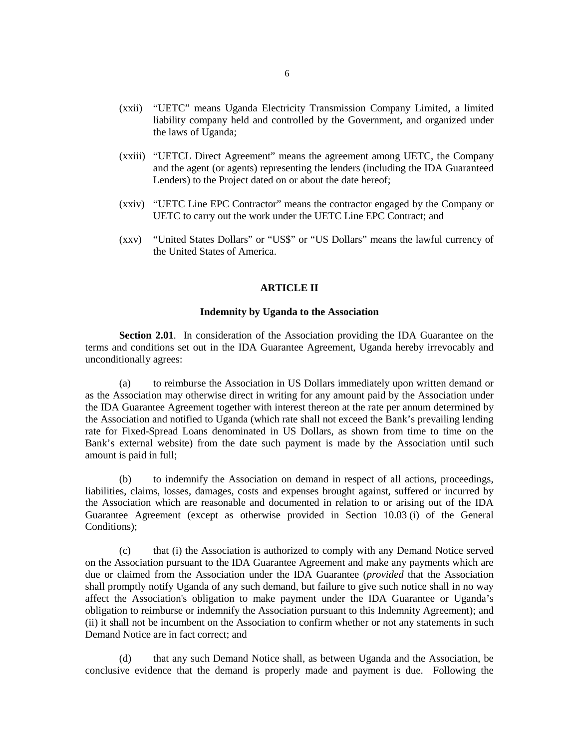- (xxii) "UETC" means Uganda Electricity Transmission Company Limited, a limited liability company held and controlled by the Government, and organized under the laws of Uganda;
- (xxiii) "UETCL Direct Agreement" means the agreement among UETC, the Company and the agent (or agents) representing the lenders (including the IDA Guaranteed Lenders) to the Project dated on or about the date hereof;
- (xxiv) "UETC Line EPC Contractor" means the contractor engaged by the Company or UETC to carry out the work under the UETC Line EPC Contract; and
- (xxv) "United States Dollars" or "US\$" or "US Dollars" means the lawful currency of the United States of America.

## **ARTICLE II**

## **Indemnity by Uganda to the Association**

**Section 2.01**. In consideration of the Association providing the IDA Guarantee on the terms and conditions set out in the IDA Guarantee Agreement, Uganda hereby irrevocably and unconditionally agrees:

(a) to reimburse the Association in US Dollars immediately upon written demand or as the Association may otherwise direct in writing for any amount paid by the Association under the IDA Guarantee Agreement together with interest thereon at the rate per annum determined by the Association and notified to Uganda (which rate shall not exceed the Bank's prevailing lending rate for Fixed-Spread Loans denominated in US Dollars, as shown from time to time on the Bank's external website) from the date such payment is made by the Association until such amount is paid in full;

(b) to indemnify the Association on demand in respect of all actions, proceedings, liabilities, claims, losses, damages, costs and expenses brought against, suffered or incurred by the Association which are reasonable and documented in relation to or arising out of the IDA Guarantee Agreement (except as otherwise provided in Section 10.03 (i) of the General Conditions);

(c) that (i) the Association is authorized to comply with any Demand Notice served on the Association pursuant to the IDA Guarantee Agreement and make any payments which are due or claimed from the Association under the IDA Guarantee (*provided* that the Association shall promptly notify Uganda of any such demand, but failure to give such notice shall in no way affect the Association's obligation to make payment under the IDA Guarantee or Uganda's obligation to reimburse or indemnify the Association pursuant to this Indemnity Agreement); and (ii) it shall not be incumbent on the Association to confirm whether or not any statements in such Demand Notice are in fact correct; and

(d) that any such Demand Notice shall, as between Uganda and the Association, be conclusive evidence that the demand is properly made and payment is due. Following the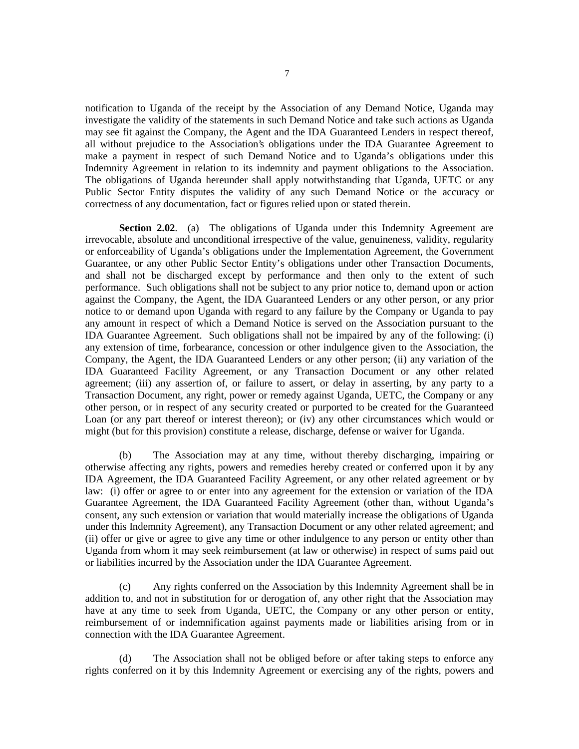notification to Uganda of the receipt by the Association of any Demand Notice, Uganda may investigate the validity of the statements in such Demand Notice and take such actions as Uganda may see fit against the Company, the Agent and the IDA Guaranteed Lenders in respect thereof, all without prejudice to the Association's obligations under the IDA Guarantee Agreement to make a payment in respect of such Demand Notice and to Uganda's obligations under this Indemnity Agreement in relation to its indemnity and payment obligations to the Association. The obligations of Uganda hereunder shall apply notwithstanding that Uganda, UETC or any Public Sector Entity disputes the validity of any such Demand Notice or the accuracy or correctness of any documentation, fact or figures relied upon or stated therein.

**Section 2.02.** (a) The obligations of Uganda under this Indemnity Agreement are irrevocable, absolute and unconditional irrespective of the value, genuineness, validity, regularity or enforceability of Uganda's obligations under the Implementation Agreement, the Government Guarantee, or any other Public Sector Entity's obligations under other Transaction Documents, and shall not be discharged except by performance and then only to the extent of such performance. Such obligations shall not be subject to any prior notice to, demand upon or action against the Company, the Agent, the IDA Guaranteed Lenders or any other person, or any prior notice to or demand upon Uganda with regard to any failure by the Company or Uganda to pay any amount in respect of which a Demand Notice is served on the Association pursuant to the IDA Guarantee Agreement. Such obligations shall not be impaired by any of the following: (i) any extension of time, forbearance, concession or other indulgence given to the Association, the Company, the Agent, the IDA Guaranteed Lenders or any other person; (ii) any variation of the IDA Guaranteed Facility Agreement, or any Transaction Document or any other related agreement; (iii) any assertion of, or failure to assert, or delay in asserting, by any party to a Transaction Document, any right, power or remedy against Uganda, UETC, the Company or any other person, or in respect of any security created or purported to be created for the Guaranteed Loan (or any part thereof or interest thereon); or (iv) any other circumstances which would or might (but for this provision) constitute a release, discharge, defense or waiver for Uganda.

(b) The Association may at any time, without thereby discharging, impairing or otherwise affecting any rights, powers and remedies hereby created or conferred upon it by any IDA Agreement, the IDA Guaranteed Facility Agreement, or any other related agreement or by law: (i) offer or agree to or enter into any agreement for the extension or variation of the IDA Guarantee Agreement, the IDA Guaranteed Facility Agreement (other than, without Uganda's consent, any such extension or variation that would materially increase the obligations of Uganda under this Indemnity Agreement), any Transaction Document or any other related agreement; and (ii) offer or give or agree to give any time or other indulgence to any person or entity other than Uganda from whom it may seek reimbursement (at law or otherwise) in respect of sums paid out or liabilities incurred by the Association under the IDA Guarantee Agreement.

(c) Any rights conferred on the Association by this Indemnity Agreement shall be in addition to, and not in substitution for or derogation of, any other right that the Association may have at any time to seek from Uganda, UETC, the Company or any other person or entity, reimbursement of or indemnification against payments made or liabilities arising from or in connection with the IDA Guarantee Agreement.

(d) The Association shall not be obliged before or after taking steps to enforce any rights conferred on it by this Indemnity Agreement or exercising any of the rights, powers and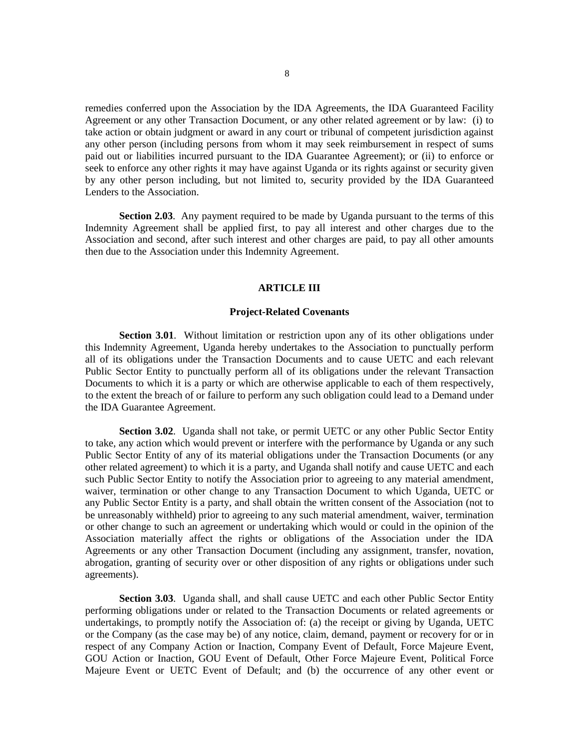remedies conferred upon the Association by the IDA Agreements, the IDA Guaranteed Facility Agreement or any other Transaction Document, or any other related agreement or by law: (i) to take action or obtain judgment or award in any court or tribunal of competent jurisdiction against any other person (including persons from whom it may seek reimbursement in respect of sums paid out or liabilities incurred pursuant to the IDA Guarantee Agreement); or (ii) to enforce or seek to enforce any other rights it may have against Uganda or its rights against or security given by any other person including, but not limited to, security provided by the IDA Guaranteed Lenders to the Association.

**Section 2.03.** Any payment required to be made by Uganda pursuant to the terms of this Indemnity Agreement shall be applied first, to pay all interest and other charges due to the Association and second, after such interest and other charges are paid, to pay all other amounts then due to the Association under this Indemnity Agreement.

#### **ARTICLE III**

#### **Project-Related Covenants**

**Section 3.01**. Without limitation or restriction upon any of its other obligations under this Indemnity Agreement, Uganda hereby undertakes to the Association to punctually perform all of its obligations under the Transaction Documents and to cause UETC and each relevant Public Sector Entity to punctually perform all of its obligations under the relevant Transaction Documents to which it is a party or which are otherwise applicable to each of them respectively, to the extent the breach of or failure to perform any such obligation could lead to a Demand under the IDA Guarantee Agreement.

**Section 3.02.** Uganda shall not take, or permit UETC or any other Public Sector Entity to take, any action which would prevent or interfere with the performance by Uganda or any such Public Sector Entity of any of its material obligations under the Transaction Documents (or any other related agreement) to which it is a party, and Uganda shall notify and cause UETC and each such Public Sector Entity to notify the Association prior to agreeing to any material amendment, waiver, termination or other change to any Transaction Document to which Uganda, UETC or any Public Sector Entity is a party, and shall obtain the written consent of the Association (not to be unreasonably withheld) prior to agreeing to any such material amendment, waiver, termination or other change to such an agreement or undertaking which would or could in the opinion of the Association materially affect the rights or obligations of the Association under the IDA Agreements or any other Transaction Document (including any assignment, transfer, novation, abrogation, granting of security over or other disposition of any rights or obligations under such agreements).

**Section 3.03**. Uganda shall, and shall cause UETC and each other Public Sector Entity performing obligations under or related to the Transaction Documents or related agreements or undertakings, to promptly notify the Association of: (a) the receipt or giving by Uganda, UETC or the Company (as the case may be) of any notice, claim, demand, payment or recovery for or in respect of any Company Action or Inaction, Company Event of Default, Force Majeure Event, GOU Action or Inaction, GOU Event of Default, Other Force Majeure Event, Political Force Majeure Event or UETC Event of Default; and (b) the occurrence of any other event or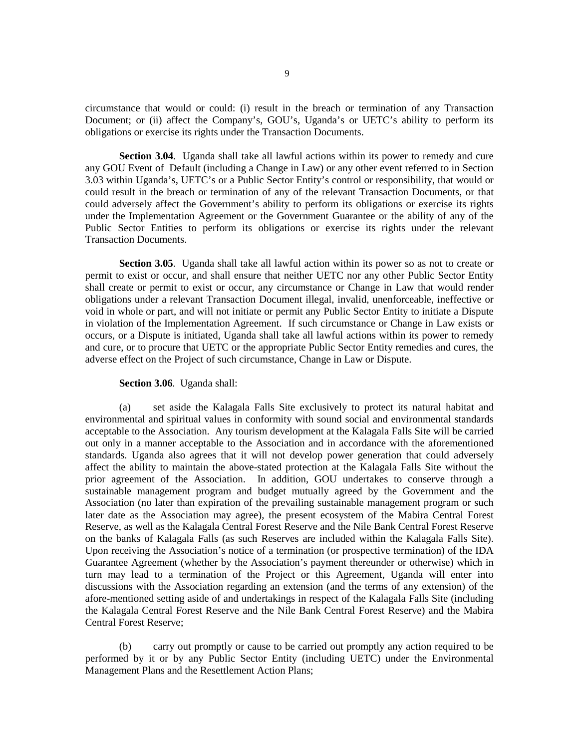circumstance that would or could: (i) result in the breach or termination of any Transaction Document; or (ii) affect the Company's, GOU's, Uganda's or UETC's ability to perform its obligations or exercise its rights under the Transaction Documents.

**Section 3.04**. Uganda shall take all lawful actions within its power to remedy and cure any GOU Event of Default (including a Change in Law) or any other event referred to in Section 3.03 within Uganda's, UETC's or a Public Sector Entity's control or responsibility, that would or could result in the breach or termination of any of the relevant Transaction Documents, or that could adversely affect the Government's ability to perform its obligations or exercise its rights under the Implementation Agreement or the Government Guarantee or the ability of any of the Public Sector Entities to perform its obligations or exercise its rights under the relevant Transaction Documents.

**Section 3.05**. Uganda shall take all lawful action within its power so as not to create or permit to exist or occur, and shall ensure that neither UETC nor any other Public Sector Entity shall create or permit to exist or occur, any circumstance or Change in Law that would render obligations under a relevant Transaction Document illegal, invalid, unenforceable, ineffective or void in whole or part, and will not initiate or permit any Public Sector Entity to initiate a Dispute in violation of the Implementation Agreement. If such circumstance or Change in Law exists or occurs, or a Dispute is initiated, Uganda shall take all lawful actions within its power to remedy and cure, or to procure that UETC or the appropriate Public Sector Entity remedies and cures, the adverse effect on the Project of such circumstance, Change in Law or Dispute.

### **Section 3.06**. Uganda shall:

(a) set aside the Kalagala Falls Site exclusively to protect its natural habitat and environmental and spiritual values in conformity with sound social and environmental standards acceptable to the Association. Any tourism development at the Kalagala Falls Site will be carried out only in a manner acceptable to the Association and in accordance with the aforementioned standards. Uganda also agrees that it will not develop power generation that could adversely affect the ability to maintain the above-stated protection at the Kalagala Falls Site without the prior agreement of the Association. In addition, GOU undertakes to conserve through a sustainable management program and budget mutually agreed by the Government and the Association (no later than expiration of the prevailing sustainable management program or such later date as the Association may agree), the present ecosystem of the Mabira Central Forest Reserve, as well as the Kalagala Central Forest Reserve and the Nile Bank Central Forest Reserve on the banks of Kalagala Falls (as such Reserves are included within the Kalagala Falls Site). Upon receiving the Association's notice of a termination (or prospective termination) of the IDA Guarantee Agreement (whether by the Association's payment thereunder or otherwise) which in turn may lead to a termination of the Project or this Agreement, Uganda will enter into discussions with the Association regarding an extension (and the terms of any extension) of the afore-mentioned setting aside of and undertakings in respect of the Kalagala Falls Site (including the Kalagala Central Forest Reserve and the Nile Bank Central Forest Reserve) and the Mabira Central Forest Reserve;

(b) carry out promptly or cause to be carried out promptly any action required to be performed by it or by any Public Sector Entity (including UETC) under the Environmental Management Plans and the Resettlement Action Plans;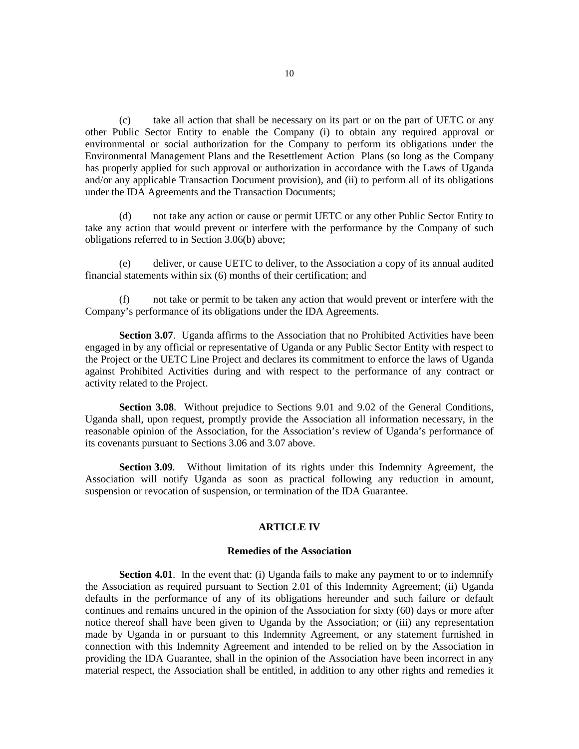(c) take all action that shall be necessary on its part or on the part of UETC or any other Public Sector Entity to enable the Company (i) to obtain any required approval or environmental or social authorization for the Company to perform its obligations under the Environmental Management Plans and the Resettlement Action Plans (so long as the Company has properly applied for such approval or authorization in accordance with the Laws of Uganda and/or any applicable Transaction Document provision), and (ii) to perform all of its obligations under the IDA Agreements and the Transaction Documents;

(d) not take any action or cause or permit UETC or any other Public Sector Entity to take any action that would prevent or interfere with the performance by the Company of such obligations referred to in Section 3.06(b) above;

(e) deliver, or cause UETC to deliver, to the Association a copy of its annual audited financial statements within six (6) months of their certification; and

(f) not take or permit to be taken any action that would prevent or interfere with the Company's performance of its obligations under the IDA Agreements.

**Section 3.07.** Uganda affirms to the Association that no Prohibited Activities have been engaged in by any official or representative of Uganda or any Public Sector Entity with respect to the Project or the UETC Line Project and declares its commitment to enforce the laws of Uganda against Prohibited Activities during and with respect to the performance of any contract or activity related to the Project.

**Section 3.08.** Without prejudice to Sections 9.01 and 9.02 of the General Conditions, Uganda shall, upon request, promptly provide the Association all information necessary, in the reasonable opinion of the Association, for the Association's review of Uganda's performance of its covenants pursuant to Sections 3.06 and 3.07 above.

**Section 3.09**. Without limitation of its rights under this Indemnity Agreement, the Association will notify Uganda as soon as practical following any reduction in amount, suspension or revocation of suspension, or termination of the IDA Guarantee.

#### **ARTICLE IV**

## **Remedies of the Association**

**Section 4.01.** In the event that: (i) Uganda fails to make any payment to or to indemnify the Association as required pursuant to Section 2.01 of this Indemnity Agreement; (ii) Uganda defaults in the performance of any of its obligations hereunder and such failure or default continues and remains uncured in the opinion of the Association for sixty (60) days or more after notice thereof shall have been given to Uganda by the Association; or (iii) any representation made by Uganda in or pursuant to this Indemnity Agreement, or any statement furnished in connection with this Indemnity Agreement and intended to be relied on by the Association in providing the IDA Guarantee, shall in the opinion of the Association have been incorrect in any material respect, the Association shall be entitled, in addition to any other rights and remedies it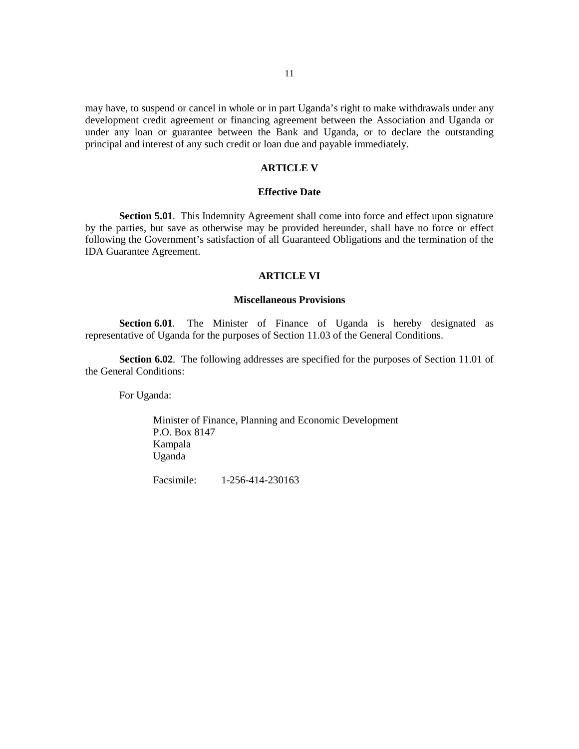may have, to suspend or cancel in whole or in part Uganda's right to make withdrawals under any development credit agreement or financing agreement between the Association and Uganda or under any loan or guarantee between the Bank and Uganda, or to declare the outstanding principal and interest of any such credit or loan due and payable immediately.

## **ARTICLE V**

## **Effective Date**

**Section 5.01**. This Indemnity Agreement shall come into force and effect upon signature by the parties, but save as otherwise may be provided hereunder, shall have no force or effect following the Government's satisfaction of all Guaranteed Obligations and the termination of the IDA Guarantee Agreement.

## **ARTICLE VI**

#### **Miscellaneous Provisions**

**Section 6.01.** The Minister of Finance of Uganda is hereby designated as representative of Uganda for the purposes of Section 11.03 of the General Conditions.

**Section 6.02.** The following addresses are specified for the purposes of Section 11.01 of the General Conditions:

For Uganda:

Minister of Finance, Planning and Economic Development P.O. Box 8147 Kampala Uganda

Facsimile: 1-256-414-230163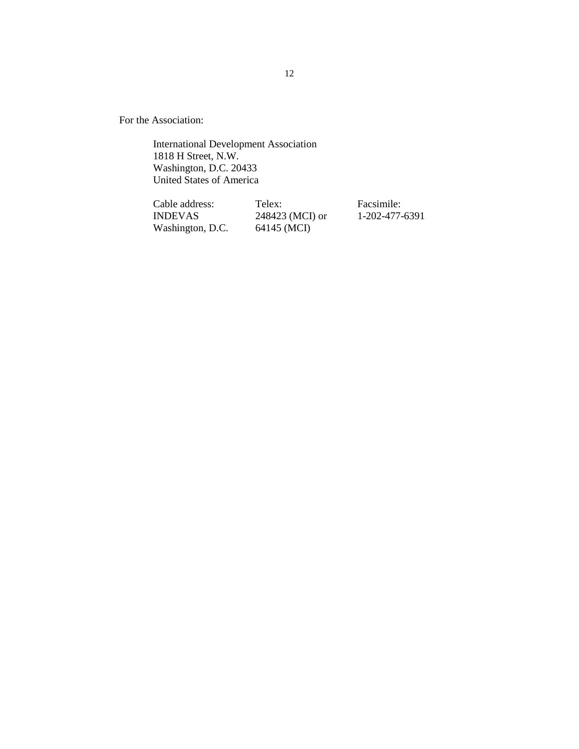For the Association:

International Development Association 1818 H Street, N.W. Washington, D.C. 20433 United States of America

| Cable address:   | Telex:          | Facsimile:     |
|------------------|-----------------|----------------|
| <b>INDEVAS</b>   | 248423 (MCI) or | 1-202-477-6391 |
| Washington, D.C. | 64145 (MCI)     |                |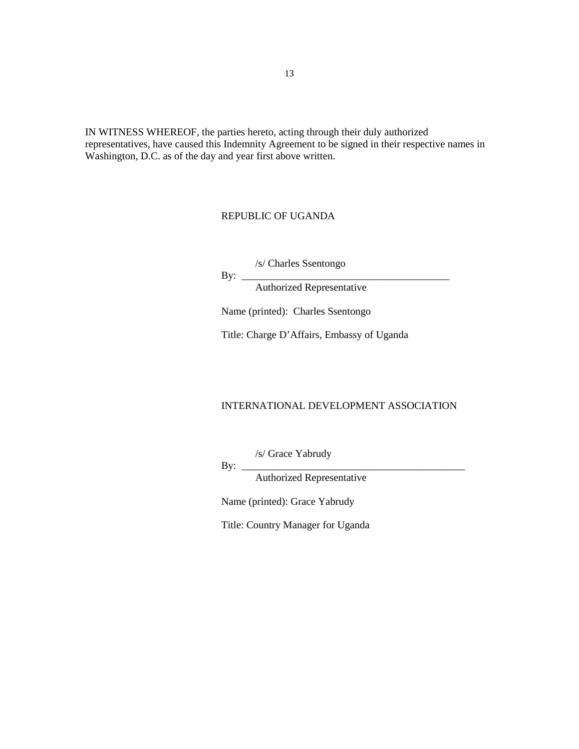IN WITNESS WHEREOF, the parties hereto, acting through their duly authorized representatives, have caused this Indemnity Agreement to be signed in their respective names in Washington, D.C. as of the day and year first above written.

## REPUBLIC OF UGANDA

/s/ Charles Ssentongo By:  $\_\_$ 

Authorized Representative

Name (printed): Charles Ssentongo

Title: Charge D'Affairs, Embassy of Uganda

# INTERNATIONAL DEVELOPMENT ASSOCIATION

/s/ Grace Yabrudy

 $By: \_\_$ 

Authorized Representative

Name (printed): Grace Yabrudy

Title: Country Manager for Uganda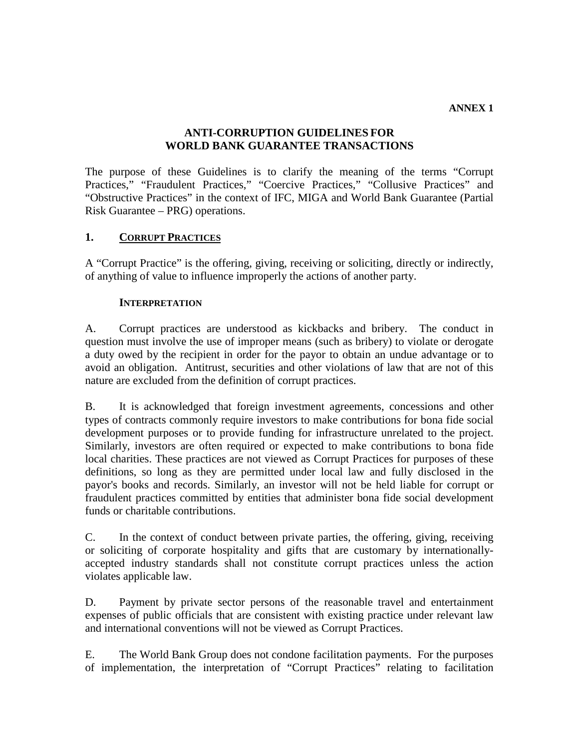**ANNEX 1** 

# **ANTI-CORRUPTION GUIDELINES FOR WORLD BANK GUARANTEE TRANSACTIONS**

The purpose of these Guidelines is to clarify the meaning of the terms "Corrupt Practices," "Fraudulent Practices," "Coercive Practices," "Collusive Practices" and "Obstructive Practices" in the context of IFC, MIGA and World Bank Guarantee (Partial Risk Guarantee – PRG) operations.

# **1. CORRUPT PRACTICES**

A "Corrupt Practice" is the offering, giving, receiving or soliciting, directly or indirectly, of anything of value to influence improperly the actions of another party.

# **INTERPRETATION**

A. Corrupt practices are understood as kickbacks and bribery. The conduct in question must involve the use of improper means (such as bribery) to violate or derogate a duty owed by the recipient in order for the payor to obtain an undue advantage or to avoid an obligation. Antitrust, securities and other violations of law that are not of this nature are excluded from the definition of corrupt practices.

B. It is acknowledged that foreign investment agreements, concessions and other types of contracts commonly require investors to make contributions for bona fide social development purposes or to provide funding for infrastructure unrelated to the project. Similarly, investors are often required or expected to make contributions to bona fide local charities. These practices are not viewed as Corrupt Practices for purposes of these definitions, so long as they are permitted under local law and fully disclosed in the payor's books and records. Similarly, an investor will not be held liable for corrupt or fraudulent practices committed by entities that administer bona fide social development funds or charitable contributions.

C. In the context of conduct between private parties, the offering, giving, receiving or soliciting of corporate hospitality and gifts that are customary by internationallyaccepted industry standards shall not constitute corrupt practices unless the action violates applicable law.

D. Payment by private sector persons of the reasonable travel and entertainment expenses of public officials that are consistent with existing practice under relevant law and international conventions will not be viewed as Corrupt Practices.

E. The World Bank Group does not condone facilitation payments. For the purposes of implementation, the interpretation of "Corrupt Practices" relating to facilitation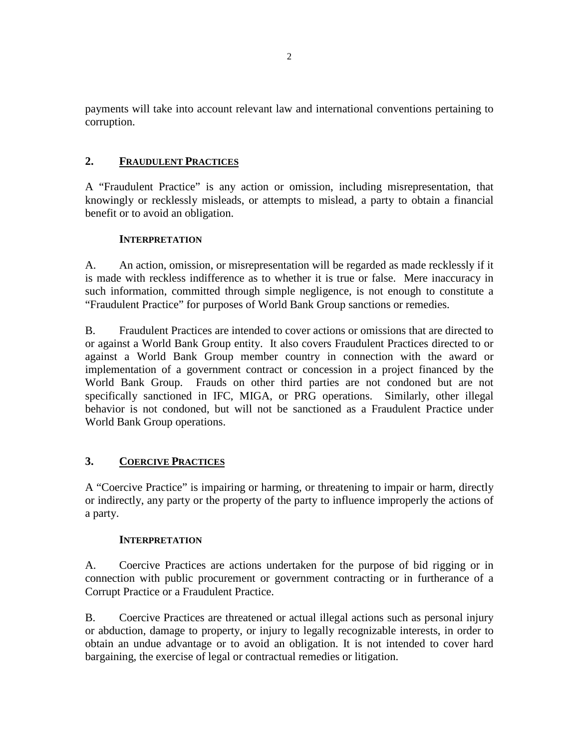payments will take into account relevant law and international conventions pertaining to corruption.

# **2. FRAUDULENT PRACTICES**

A "Fraudulent Practice" is any action or omission, including misrepresentation, that knowingly or recklessly misleads, or attempts to mislead, a party to obtain a financial benefit or to avoid an obligation.

# **INTERPRETATION**

A. An action, omission, or misrepresentation will be regarded as made recklessly if it is made with reckless indifference as to whether it is true or false. Mere inaccuracy in such information, committed through simple negligence, is not enough to constitute a "Fraudulent Practice" for purposes of World Bank Group sanctions or remedies.

B. Fraudulent Practices are intended to cover actions or omissions that are directed to or against a World Bank Group entity. It also covers Fraudulent Practices directed to or against a World Bank Group member country in connection with the award or implementation of a government contract or concession in a project financed by the World Bank Group. Frauds on other third parties are not condoned but are not specifically sanctioned in IFC, MIGA, or PRG operations. Similarly, other illegal behavior is not condoned, but will not be sanctioned as a Fraudulent Practice under World Bank Group operations.

# **3. COERCIVE PRACTICES**

A "Coercive Practice" is impairing or harming, or threatening to impair or harm, directly or indirectly, any party or the property of the party to influence improperly the actions of a party.

# **INTERPRETATION**

A. Coercive Practices are actions undertaken for the purpose of bid rigging or in connection with public procurement or government contracting or in furtherance of a Corrupt Practice or a Fraudulent Practice.

B. Coercive Practices are threatened or actual illegal actions such as personal injury or abduction, damage to property, or injury to legally recognizable interests, in order to obtain an undue advantage or to avoid an obligation. It is not intended to cover hard bargaining, the exercise of legal or contractual remedies or litigation.